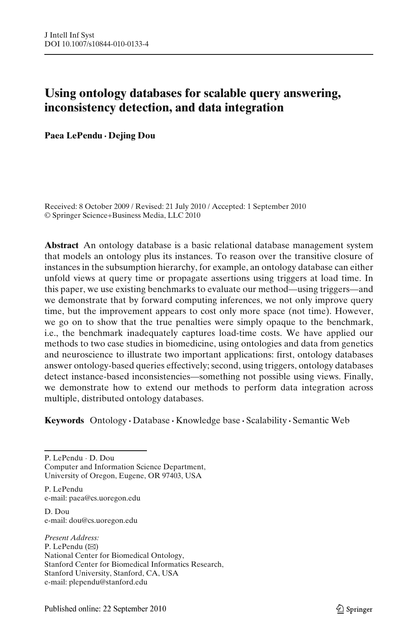# **Using ontology databases for scalable query answering, inconsistency detection, and data integration**

**Paea LePendu · Dejing Dou**

Received: 8 October 2009 / Revised: 21 July 2010 / Accepted: 1 September 2010 © Springer Science+Business Media, LLC 2010

**Abstract** An ontology database is a basic relational database management system that models an ontology plus its instances. To reason over the transitive closure of instances in the subsumption hierarchy, for example, an ontology database can either unfold views at query time or propagate assertions using triggers at load time. In this paper, we use existing benchmarks to evaluate our method—using triggers—and we demonstrate that by forward computing inferences, we not only improve query time, but the improvement appears to cost only more space (not time). However, we go on to show that the true penalties were simply opaque to the benchmark, i.e., the benchmark inadequately captures load-time costs. We have applied our methods to two case studies in biomedicine, using ontologies and data from genetics and neuroscience to illustrate two important applications: first, ontology databases answer ontology-based queries effectively; second, using triggers, ontology databases detect instance-based inconsistencies—something not possible using views. Finally, we demonstrate how to extend our methods to perform data integration across multiple, distributed ontology databases.

**Keywords** Ontology **·** Database **·** Knowledge base **·** Scalability **·** Semantic Web

P. LePendu · D. Dou Computer and Information Science Department, University of Oregon, Eugene, OR 97403, USA

P. LePendu e-mail: paea@cs.uoregon.edu

D. Dou e-mail: dou@cs.uoregon.edu

*Present Address:* P. LePendu  $(\boxtimes)$ National Center for Biomedical Ontology, Stanford Center for Biomedical Informatics Research, Stanford University, Stanford, CA, USA e-mail: plependu@stanford.edu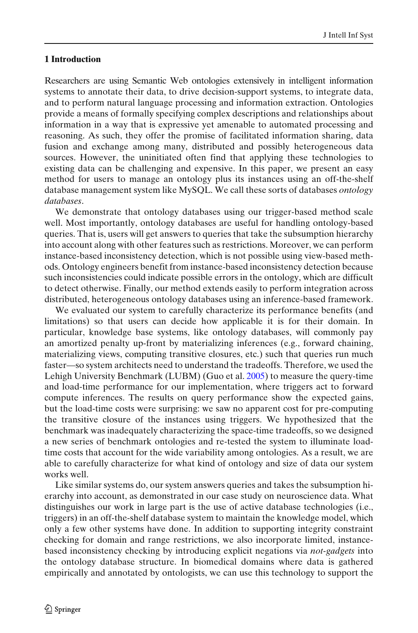### **1 Introduction**

Researchers are using Semantic Web ontologies extensively in intelligent information systems to annotate their data, to drive decision-support systems, to integrate data, and to perform natural language processing and information extraction. Ontologies provide a means of formally specifying complex descriptions and relationships about information in a way that is expressive yet amenable to automated processing and reasoning. As such, they offer the promise of facilitated information sharing, data fusion and exchange among many, distributed and possibly heterogeneous data sources. However, the uninitiated often find that applying these technologies to existing data can be challenging and expensive. In this paper, we present an easy method for users to manage an ontology plus its instances using an off-the-shelf database management system like MySQL. We call these sorts of databases *ontology databases*.

We demonstrate that ontology databases using our trigger-based method scale well. Most importantly, ontology databases are useful for handling ontology-based queries. That is, users will get answers to queries that take the subsumption hierarchy into account along with other features such as restrictions. Moreover, we can perform instance-based inconsistency detection, which is not possible using view-based methods. Ontology engineers benefit from instance-based inconsistency detection because such inconsistencies could indicate possible errors in the ontology, which are difficult to detect otherwise. Finally, our method extends easily to perform integration across distributed, heterogeneous ontology databases using an inference-based framework.

We evaluated our system to carefully characterize its performance benefits (and limitations) so that users can decide how applicable it is for their domain. In particular, knowledge base systems, like ontology databases, will commonly pay an amortized penalty up-front by materializing inferences (e.g., forward chaining, materializing views, computing transitive closures, etc.) such that queries run much faster—so system architects need to understand the tradeoffs. Therefore, we used the Lehigh University Benchmark (LUBM) (Guo et al[.](#page-26-0) [2005](#page-26-0)) to measure the query-time and load-time performance for our implementation, where triggers act to forward compute inferences. The results on query performance show the expected gains, but the load-time costs were surprising: we saw no apparent cost for pre-computing the transitive closure of the instances using triggers. We hypothesized that the benchmark was inadequately characterizing the space-time tradeoffs, so we designed a new series of benchmark ontologies and re-tested the system to illuminate loadtime costs that account for the wide variability among ontologies. As a result, we are able to carefully characterize for what kind of ontology and size of data our system works well.

Like similar systems do, our system answers queries and takes the subsumption hierarchy into account, as demonstrated in our case study on neuroscience data. What distinguishes our work in large part is the use of active database technologies (i.e., triggers) in an off-the-shelf database system to maintain the knowledge model, which only a few other systems have done. In addition to supporting integrity constraint checking for domain and range restrictions, we also incorporate limited, instancebased inconsistency checking by introducing explicit negations via *not-gadgets* into the ontology database structure. In biomedical domains where data is gathered empirically and annotated by ontologists, we can use this technology to support the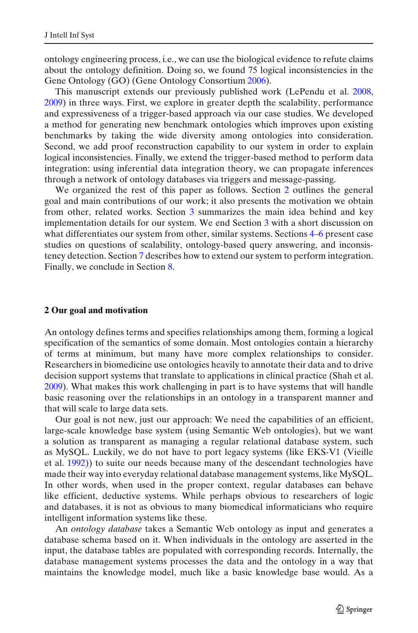ontology engineering process, i.e., we can use the biological evidence to refute claims about the ontology definition. Doing so, we found 75 logical inconsistencies in the Gene Ontology (GO) (Gene Ontology Consortiu[m](#page-26-0) [2006\)](#page-26-0).

This manuscript extends our previously published work (LePendu et al[.](#page-27-0) [2008](#page-27-0), [2009\)](#page-27-0) in three ways. First, we explore in greater depth the scalability, performance and expressiveness of a trigger-based approach via our case studies. We developed a method for generating new benchmark ontologies which improves upon existing benchmarks by taking the wide diversity among ontologies into consideration. Second, we add proof reconstruction capability to our system in order to explain logical inconsistencies. Finally, we extend the trigger-based method to perform data integration: using inferential data integration theory, we can propagate inferences through a network of ontology databases via triggers and message-passing.

We organized the rest of this paper as follows. Section 2 outlines the general goal and main contributions of our work; it also presents the motivation we obtain from other, related works. Section [3](#page-5-0) summarizes the main idea behind and key implementation details for our system. We end Section [3](#page-5-0) with a short discussion on what differentiates our system from other, similar systems. Sections [4](#page-13-0)[–6](#page-19-0) present case studies on questions of scalability, ontology-based query answering, and inconsistency detection. Section [7](#page-21-0) describes how to extend our system to perform integration. Finally, we conclude in Section [8.](#page-24-0)

#### **2 Our goal and motivation**

An ontology defines terms and specifies relationships among them, forming a logical specification of the semantics of some domain. Most ontologies contain a hierarchy of terms at minimum, but many have more complex relationships to consider. Researchers in biomedicine use ontologies heavily to annotate their data and to drive decision support systems that translate to applications in clinical practice (Shah et al[.](#page-27-0) [2009\)](#page-27-0). What makes this work challenging in part is to have systems that will handle basic reasoning over the relationships in an ontology in a transparent manner and that will scale to large data sets.

Our goal is not new, just our approach: We need the capabilities of an efficient, large-scale knowledge base system (using Semantic Web ontologies), but we want a solution as transparent as managing a regular relational database system, such as MySQL. Luckily, we do not have to port legacy systems (like EKS-V1 (Vieille et al[.](#page-27-0) [1992\)](#page-27-0)) to suite our needs because many of the descendant technologies have made their way into everyday relational database management systems, like MySQL. In other words, when used in the proper context, regular databases can behave like efficient, deductive systems. While perhaps obvious to researchers of logic and databases, it is not as obvious to many biomedical informaticians who require intelligent information systems like these.

An *ontology database* takes a Semantic Web ontology as input and generates a database schema based on it. When individuals in the ontology are asserted in the input, the database tables are populated with corresponding records. Internally, the database management systems processes the data and the ontology in a way that maintains the knowledge model, much like a basic knowledge base would. As a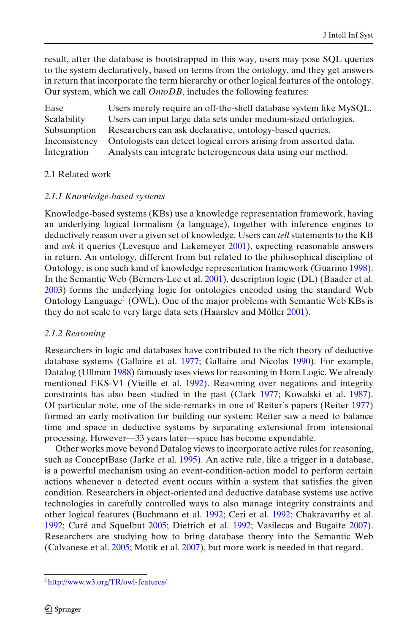result, after the database is bootstrapped in this way, users may pose SQL queries to the system declaratively, based on terms from the ontology, and they get answers in return that incorporate the term hierarchy or other logical features of the ontology. Our system, which we call *OntoDB*, includes the following features:

Ease Users merely require an off-the-shelf database system like MySQL. Scalability Users can input large data sets under medium-sized ontologies. Subsumption Researchers can ask declarative, ontology-based queries. Inconsistency Ontologists can detect logical errors arising from asserted data. Integration Analysts can integrate heterogeneous data using our method.

# 2.1 Related work

# *2.1.1 Knowledge-based systems*

Knowledge-based systems (KBs) use a knowledge representation framework, having an underlying logical formalism (a language), together with inference engines to deductively reason over a given set of knowledge. Users can *tell* statements to the KB and *ask* it queries (Levesque and Lakemeye[r](#page-27-0) [2001](#page-27-0)), expecting reasonable answers in return. An ontology, different from but related to the philosophical discipline of Ontology, is one such kind of knowledge representation framework (Guarin[o](#page-26-0) [1998\)](#page-26-0). In the Semantic Web (Berners-Lee et al[.](#page-25-0) [2001](#page-25-0)), description logic (DL) (Baader et al[.](#page-25-0) [2003\)](#page-25-0) forms the underlying logic for ontologies encoded using the standard Web Ontology Language<sup>1</sup> (OWL). One of the major problems with Semantic Web KBs is they do not scale to ve[r](#page-26-0)y large data sets (Haarslev and Möller [2001\)](#page-26-0).

# *2.1.2 Reasoning*

Researchers in logic and databases have contributed to the rich theory of deductive database systems (Gallaire et al[.](#page-26-0) [1977](#page-26-0); Gallaire and Nicola[s](#page-26-0) [1990](#page-26-0)). For example, Datalog (Ullma[n](#page-27-0) [1988\)](#page-27-0) famously uses views for reasoning in Horn Logic. We already mentioned EKS-V1 (Vieille et al[.](#page-27-0) [1992](#page-27-0)). Reasoning over negations and integrity constraints has also been studied in the past (Clar[k](#page-26-0) [1977;](#page-26-0) Kowalski et al[.](#page-27-0) [1987\)](#page-27-0). Of particular note, one of the side-remarks in one of Reiter's papers (Reite[r](#page-27-0) [1977\)](#page-27-0) formed an early motivation for building our system: Reiter saw a need to balance time and space in deductive systems by separating extensional from intensional processing. However—33 years later—space has become expendable.

Other works move beyond Datalog views to incorporate active rules for reasoning, such as ConceptBase (Jarke et al[.](#page-27-0) [1995\)](#page-27-0). An active rule, like a trigger in a database, is a powerful mechanism using an event-condition-action model to perform certain actions whenever a detected event occurs within a system that satisfies the given condition. Researchers in object-oriented and deductive database systems use active technologies in carefully controlled ways to also manage integrity constraints and other logical features (Buchmann et al[.](#page-25-0) [1992;](#page-25-0) Ceri et al[.](#page-25-0) [1992](#page-25-0); Chakravarthy et al[.](#page-25-0) [1992;](#page-25-0) Curé and Squelbu[t](#page-26-0) [2005](#page-26-0); Dietrich et al[.](#page-26-0) [1992;](#page-26-0) Vasilecas and Bugait[e](#page-27-0) [2007\)](#page-27-0). Researchers are studying how to bring database theory into the Semantic Web (Calvanese et al. [2005;](#page-25-0) Motik et al. [2007](#page-27-0)), but more work is needed in that regard.

[<sup>1</sup>http://www.w3.org/TR/owl-features/](http://www.w3.org/TR/owl-features/)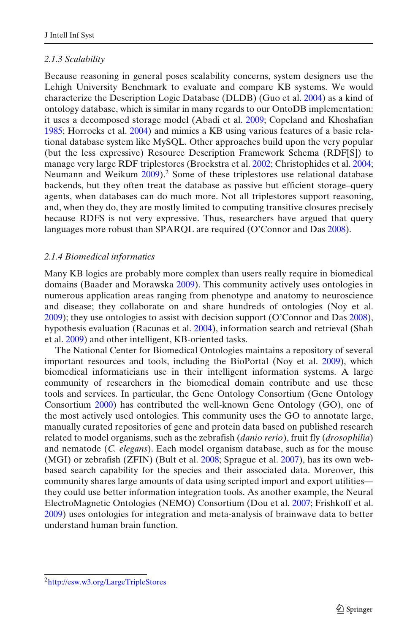# *2.1.3 Scalability*

Because reasoning in general poses scalability concerns, system designers use the Lehigh University Benchmark to evaluate and compare KB systems. We would characterize the Description Logic Database (DLDB) (Guo et al[.](#page-26-0) [2004\)](#page-26-0) as a kind of ontology database, which is similar in many regards to our OntoDB implementation: it uses a decomposed storage model (Abadi et al[.](#page-25-0) [2009;](#page-25-0) Copeland and Khoshafia[n](#page-26-0) [1985;](#page-26-0) Horrocks et al[.](#page-26-0) [2004\)](#page-26-0) and mimics a KB using various features of a basic relational database system like MySQL. Other approaches build upon the very popular (but the less expressive) Resource Description Framework Schema (RDF[S]) to manage very large RDF triplestores (Broekstra et al[.](#page-25-0) [2002;](#page-25-0) Christophides et al[.](#page-26-0) [2004](#page-26-0); Neu[m](#page-27-0)ann and Weikum [2009\)](#page-27-0).<sup>2</sup> Some of these triplestores use relational database backends, but they often treat the database as passive but efficient storage–query agents, when databases can do much more. Not all triplestores support reasoning, and, when they do, they are mostly limited to computing transitive closures precisely because RDFS is not very expressive. Thus, researchers have argued that query language[s](#page-27-0) more robust than SPARQL are required (O'Connor and Das [2008\)](#page-27-0).

# *2.1.4 Biomedical informatics*

Many KB logics are probably more complex than users really require in biomedical domains (Baader and Morawsk[a](#page-25-0) [2009\)](#page-25-0). This community actively uses ontologies in numerous application areas ranging from phenotype and anatomy to neuroscience and disease; they collaborate on and share hundreds of ontologies (Noy et al[.](#page-27-0) [2009\)](#page-27-0); they use ontologies to assist with decision support (O'Connor and Da[s](#page-27-0) [2008\)](#page-27-0), hypothesis evaluation (Racunas et al[.](#page-27-0) [2004](#page-27-0)), information search and retrieval (Shah et al[.](#page-27-0) [2009](#page-27-0)) and other intelligent, KB-oriented tasks.

The National Center for Biomedical Ontologies maintains a repository of several important resources and tools, including the BioPortal (Noy et al[.](#page-27-0) [2009\)](#page-27-0), which biomedical informaticians use in their intelligent information systems. A large community of researchers in the biomedical domain contribute and use these tools and services. In particular, the Gene Ontology Consortium (Gene Ontology Consortiu[m](#page-26-0) [2000\)](#page-26-0) has contributed the well-known Gene Ontology (GO), one of the most actively used ontologies. This community uses the GO to annotate large, manually curated repositories of gene and protein data based on published research related to model organisms, such as the zebrafish (*danio rerio*), fruit fly (*drosophilia*) and nematode (*C. elegans*). Each model organism database, such as for the mouse (MGI) or zebrafish (ZFIN) (Bult et al[.](#page-25-0) [2008](#page-25-0); Sprague et al[.](#page-27-0) [2007\)](#page-27-0), has its own webbased search capability for the species and their associated data. Moreover, this community shares large amounts of data using scripted import and export utilities they could use better information integration tools. As another example, the Neural ElectroMagnetic Ontologies (NEMO) Consortium (Dou et al[.](#page-26-0) [2007;](#page-26-0) Frishkoff et al[.](#page-26-0) [2009\)](#page-26-0) uses ontologies for integration and meta-analysis of brainwave data to better understand human brain function.

[<sup>2</sup>http://esw.w3.org/LargeTripleStores](http://esw.w3.org/LargeTripleStores)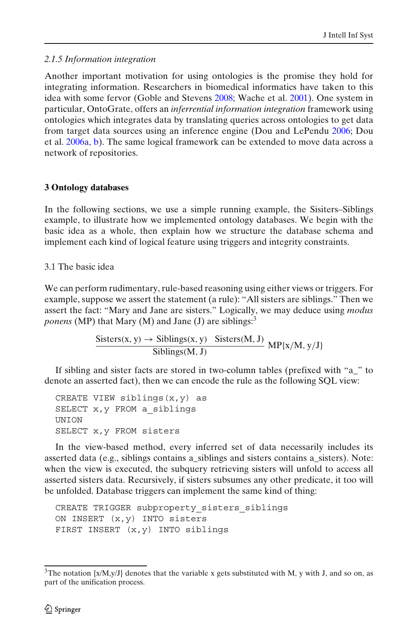# <span id="page-5-0"></span>*2.1.5 Information integration*

Another important motivation for using ontologies is the promise they hold for integrating information. Researchers in biomedical informatics have taken to this idea with some fervor (Goble and Steven[s](#page-26-0) [2008;](#page-26-0) Wache et al[.](#page-27-0) [2001](#page-27-0)). One system in particular, OntoGrate, offers an *inferrential information integration* framework using ontologies which integrates data by translating queries across ontologies to get data from target data sources using an inference engine (Dou and LePend[u](#page-26-0) [2006](#page-26-0); Dou et al[.](#page-26-0) [2006a](#page-26-0), [b\)](#page-26-0). The same logical framework can be extended to move data across a network of repositories.

# **3 Ontology databases**

In the following sections, we use a simple running example, the Sisiters–Siblings example, to illustrate how we implemented ontology databases. We begin with the basic idea as a whole, then explain how we structure the database schema and implement each kind of logical feature using triggers and integrity constraints.

3.1 The basic idea

We can perform rudimentary, rule-based reasoning using either views or triggers. For example, suppose we assert the statement (a rule): "All sisters are siblings." Then we assert the fact: "Mary and Jane are sisters." Logically, we may deduce using *modus ponens* (MP) that Mary (M) and Jane (J) are siblings:<sup>3</sup>

$$
\frac{Sisters(x, y) \rightarrow Sibling(s, y) - Sisters(M, J)}{Sibling(s(M, J))} \ MP\{x/M, y/J\}
$$

If sibling and sister facts are stored in two-column tables (prefixed with "a\_" to denote an asserted fact), then we can encode the rule as the following SQL view:

CREATE VIEW siblings(x,y) as SELECT x,y FROM a\_siblings UNION SELECT x,y FROM sisters

In the view-based method, every inferred set of data necessarily includes its asserted data (e.g., siblings contains a siblings and sisters contains a sisters). Note: when the view is executed, the subquery retrieving sisters will unfold to access all asserted sisters data. Recursively, if sisters subsumes any other predicate, it too will be unfolded. Database triggers can implement the same kind of thing:

```
CREATE TRIGGER subproperty sisters siblings
ON INSERT (x,y) INTO sisters
FIRST INSERT (x,y) INTO siblings
```
<sup>&</sup>lt;sup>3</sup>The notation  $\{x/M, y/J\}$  denotes that the variable x gets substituted with M, y with J, and so on, as part of the unification process.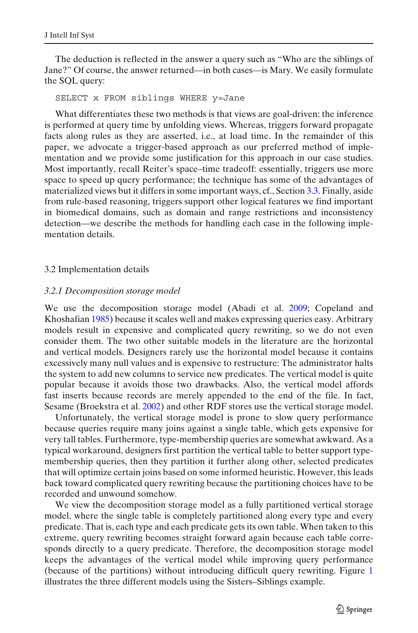The deduction is reflected in the answer a query such as "Who are the siblings of Jane?" Of course, the answer returned—in both cases—is Mary. We easily formulate the SQL query:

SELECT x FROM siblings WHERE y=Jane

What differentiates these two methods is that views are goal-driven: the inference is performed at query time by unfolding views. Whereas, triggers forward propagate facts along rules as they are asserted, i.e., at load time. In the remainder of this paper, we advocate a trigger-based approach as our preferred method of implementation and we provide some justification for this approach in our case studies. Most importantly, recall Reiter's space–time tradeoff: essentially, triggers use more space to speed up query performance; the technique has some of the advantages of materialized views but it differs in some important ways, cf., Section [3.3.](#page-12-0) Finally, aside from rule-based reasoning, triggers support other logical features we find important in biomedical domains, such as domain and range restrictions and inconsistency detection—we describe the methods for handling each case in the following implementation details.

#### 3.2 Implementation details

#### *3.2.1 Decomposition storage model*

We use the decomposition storage model (Abadi et al[.](#page-25-0) [2009](#page-25-0); Copeland and Khoshafia[n](#page-26-0) [1985](#page-26-0)) because it scales well and makes expressing queries easy. Arbitrary models result in expensive and complicated query rewriting, so we do not even consider them. The two other suitable models in the literature are the horizontal and vertical models. Designers rarely use the horizontal model because it contains excessively many null values and is expensive to restructure: The administrator halts the system to add new columns to service new predicates. The vertical model is quite popular because it avoids those two drawbacks. Also, the vertical model affords fast inserts because records are merely appended to the end of the file. In fact, Sesame (Broekstra et al[.](#page-25-0) [2002\)](#page-25-0) and other RDF stores use the vertical storage model.

Unfortunately, the vertical storage model is prone to slow query performance because queries require many joins against a single table, which gets expensive for very tall tables. Furthermore, type-membership queries are somewhat awkward. As a typical workaround, designers first partition the vertical table to better support typemembership queries, then they partition it further along other, selected predicates that will optimize certain joins based on some informed heuristic. However, this leads back toward complicated query rewriting because the partitioning choices have to be recorded and unwound somehow.

We view the decomposition storage model as a fully partitioned vertical storage model, where the single table is completely partitioned along every type and every predicate. That is, each type and each predicate gets its own table. When taken to this extreme, query rewriting becomes straight forward again because each table corresponds directly to a query predicate. Therefore, the decomposition storage model keeps the advantages of the vertical model while improving query performance (because of the partitions) without introducing difficult query rewriting. Figure [1](#page-7-0) illustrates the three different models using the Sisters–Siblings example.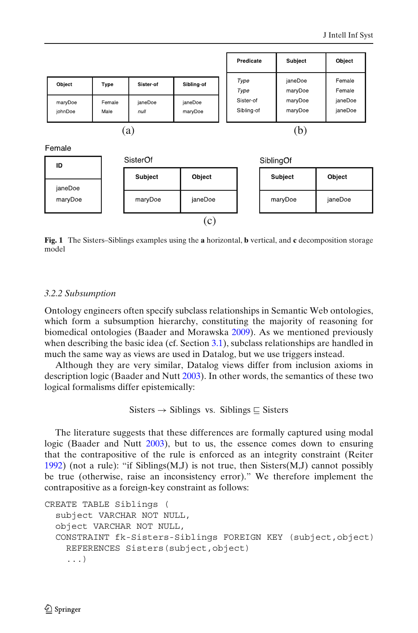<span id="page-7-0"></span>

**Fig. 1** The Sisters–Siblings examples using the **a** horizontal, **b** vertical, and **c** decomposition storage model

### *3.2.2 Subsumption*

Ontology engineers often specify subclass relationships in Semantic Web ontologies, which form a subsumption hierarchy, constituting the majority of reasoning for biomedical ontologies (Baader and Morawsk[a](#page-25-0) [2009\)](#page-25-0). As we mentioned previously when describing the basic idea (cf. Section [3.1\)](#page-5-0), subclass relationships are handled in much the same way as views are used in Datalog, but we use triggers instead.

Although they are very similar, Datalog views differ from inclusion axioms in description logic (Baader and Nut[t](#page-25-0) [2003\)](#page-25-0). In other words, the semantics of these two logical formalisms differ epistemically:

```
Sisters \rightarrow Siblings vs. Siblings \sqsubseteq Sisters
```
The literature suggests that these differences are formally captured using modal logic (Baader and Nut[t](#page-25-0) [2003\)](#page-25-0), but to us, the essence comes down to ensuring that the contrapositive of the rule is enforced as an integrity constraint (Reite[r](#page-27-0) [1992\)](#page-27-0) (not a rule): "if Siblings(M,J) is not true, then Sisters(M,J) cannot possibly be true (otherwise, raise an inconsistency error)." We therefore implement the contrapositive as a foreign-key constraint as follows:

```
CREATE TABLE Siblings (
  subject VARCHAR NOT NULL,
 object VARCHAR NOT NULL,
 CONSTRAINT fk-Sisters-Siblings FOREIGN KEY (subject,object)
   REFERENCES Sisters(subject,object)
    ...)
```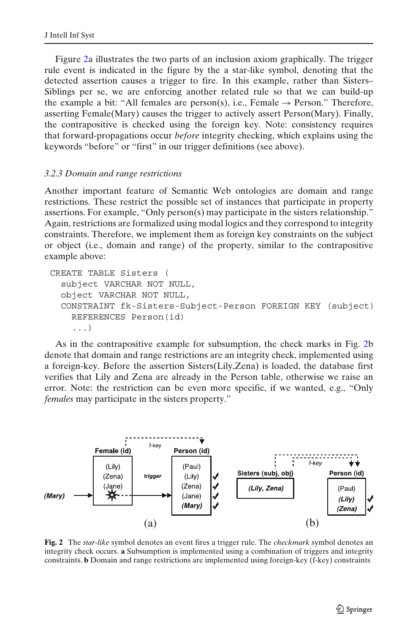Figure 2a illustrates the two parts of an inclusion axiom graphically. The trigger rule event is indicated in the figure by the a star-like symbol, denoting that the detected assertion causes a trigger to fire. In this example, rather than Sisters– Siblings per se, we are enforcing another related rule so that we can build-up the example a bit: "All females are person(s), i.e., Female  $\rightarrow$  Person." Therefore, asserting Female(Mary) causes the trigger to actively assert Person(Mary). Finally, the contrapositive is checked using the foreign key. Note: consistency requires that forward-propagations occur *before* integrity checking, which explains using the keywords "before" or "first" in our trigger definitions (see above).

# *3.2.3 Domain and range restrictions*

Another important feature of Semantic Web ontologies are domain and range restrictions. These restrict the possible set of instances that participate in property assertions. For example, "Only person(s) may participate in the sisters relationship." Again, restrictions are formalized using modal logics and they correspond to integrity constraints. Therefore, we implement them as foreign key constraints on the subject or object (i.e., domain and range) of the property, similar to the contrapositive example above:

```
CREATE TABLE Sisters (
  subject VARCHAR NOT NULL,
 object VARCHAR NOT NULL,
  CONSTRAINT fk-Sisters-Subject-Person FOREIGN KEY (subject)
    REFERENCES Person(id)
    ...)
```
As in the contrapositive example for subsumption, the check marks in Fig. 2b denote that domain and range restrictions are an integrity check, implemented using a foreign-key. Before the assertion Sisters(Lily,Zena) is loaded, the database first verifies that Lily and Zena are already in the Person table, otherwise we raise an error. Note: the restriction can be even more specific, if we wanted, e.g., "Only *females* may participate in the sisters property."



**Fig. 2** The *star-like* symbol denotes an event fires a trigger rule. The *checkmark* symbol denotes an integrity check occurs. **a** Subsumption is implemented using a combination of triggers and integrity constraints. **b** Domain and range restrictions are implemented using foreign-key (f-key) constraints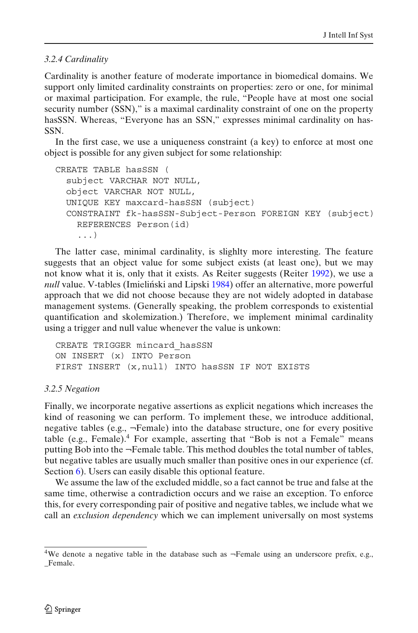# *3.2.4 Cardinality*

Cardinality is another feature of moderate importance in biomedical domains. We support only limited cardinality constraints on properties: zero or one, for minimal or maximal participation. For example, the rule, "People have at most one social security number (SSN)," is a maximal cardinality constraint of one on the property hasSSN. Whereas, "Everyone has an SSN," expresses minimal cardinality on has-SSN.

In the first case, we use a uniqueness constraint (a key) to enforce at most one object is possible for any given subject for some relationship:

```
CREATE TABLE hasSSN (
  subject VARCHAR NOT NULL,
 object VARCHAR NOT NULL,
 UNIQUE KEY maxcard-hasSSN (subject)
 CONSTRAINT fk-hasSSN-Subject-Person FOREIGN KEY (subject)
   REFERENCES Person(id)
    ...)
```
The latter case, minimal cardinality, is slighlty more interesting. The feature suggests that an object value for some subject exists (at least one), but we may not know what it is, only that it exists. As Reiter suggests (Reite[r](#page-27-0) [1992\)](#page-27-0), we use a *null* value. V-tables (Im[i](#page-26-0)eliński and Lipski [1984\)](#page-26-0) offer an alternative, more powerful approach that we did not choose because they are not widely adopted in database management systems. (Generally speaking, the problem corresponds to existential quantification and skolemization.) Therefore, we implement minimal cardinality using a trigger and null value whenever the value is unkown:

CREATE TRIGGER mincard\_hasSSN ON INSERT (x) INTO Person FIRST INSERT (x,null) INTO hasSSN IF NOT EXISTS

# *3.2.5 Negation*

Finally, we incorporate negative assertions as explicit negations which increases the kind of reasoning we can perform. To implement these, we introduce additional, negative tables (e.g., ¬Female) into the database structure, one for every positive table (e.g., Female).<sup>4</sup> For example, asserting that "Bob is not a Female" means putting Bob into the ¬Female table. This method doubles the total number of tables, but negative tables are usually much smaller than positive ones in our experience (cf. Section [6\)](#page-19-0). Users can easily disable this optional feature.

We assume the law of the excluded middle, so a fact cannot be true and false at the same time, otherwise a contradiction occurs and we raise an exception. To enforce this, for every corresponding pair of positive and negative tables, we include what we call an *exclusion dependency* which we can implement universally on most systems

<sup>&</sup>lt;sup>4</sup>We denote a negative table in the database such as  $\neg$ Female using an underscore prefix, e.g., Female.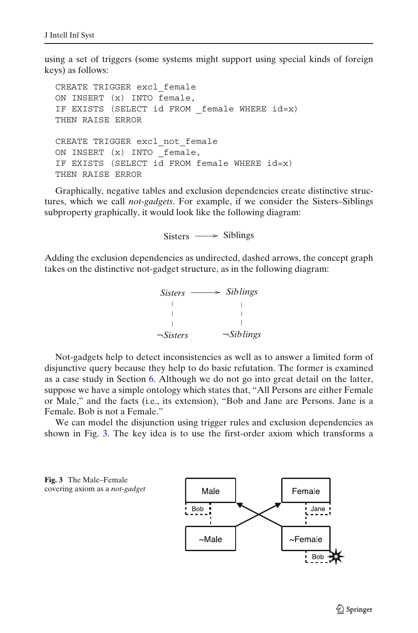<span id="page-10-0"></span>using a set of triggers (some systems might support using special kinds of foreign keys) as follows:

CREATE TRIGGER excl\_female ON INSERT (x) INTO female, IF EXISTS (SELECT id FROM \_female WHERE id=x) THEN RAISE ERROR CREATE TRIGGER excl\_not\_female ON INSERT (x) INTO \_female, IF EXISTS (SELECT id FROM female WHERE id=x) THEN RAISE ERROR

Graphically, negative tables and exclusion dependencies create distinctive structures, which we call *not-gadgets*. For example, if we consider the Sisters–Siblings subproperty graphically, it would look like the following diagram:

Sisters  $\longrightarrow$  Siblings

Adding the exclusion dependencies as undirected, dashed arrows, the concept graph takes on the distinctive not-gadget structure, as in the following diagram:



Not-gadgets help to detect inconsistencies as well as to answer a limited form of disjunctive query because they help to do basic refutation. The former is examined as a case study in Section [6.](#page-19-0) Although we do not go into great detail on the latter, suppose we have a simple ontology which states that, "All Persons are either Female or Male," and the facts (i.e., its extension), "Bob and Jane are Persons. Jane is a Female. Bob is not a Female."

We can model the disjunction using trigger rules and exclusion dependencies as shown in Fig. 3. The key idea is to use the first-order axiom which transforms a



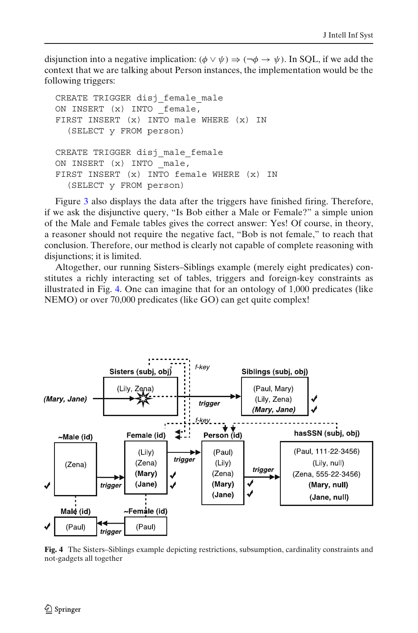disjunction into a negative implication:  $(\phi \lor \psi) \Rightarrow (\neg \phi \rightarrow \psi)$ . In SOL, if we add the context that we are talking about Person instances, the implementation would be the following triggers:

```
CREATE TRIGGER disj female male
ON INSERT (x) INTO _female,
FIRST INSERT (x) INTO male WHERE (x) IN
  (SELECT y FROM person)
CREATE TRIGGER disj male female
ON INSERT (x) INTO male,
FIRST INSERT (x) INTO female WHERE (x) IN
  (SELECT y FROM person)
```
Figure [3](#page-10-0) also displays the data after the triggers have finished firing. Therefore, if we ask the disjunctive query, "Is Bob either a Male or Female?" a simple union of the Male and Female tables gives the correct answer: Yes! Of course, in theory, a reasoner should not require the negative fact, "Bob is not female," to reach that conclusion. Therefore, our method is clearly not capable of complete reasoning with disjunctions; it is limited.

Altogether, our running Sisters–Siblings example (merely eight predicates) constitutes a richly interacting set of tables, triggers and foreign-key constraints as illustrated in Fig. 4. One can imagine that for an ontology of 1,000 predicates (like NEMO) or over 70,000 predicates (like GO) can get quite complex!



**Fig. 4** The Sisters–Siblings example depicting restrictions, subsumption, cardinality constraints and not-gadgets all together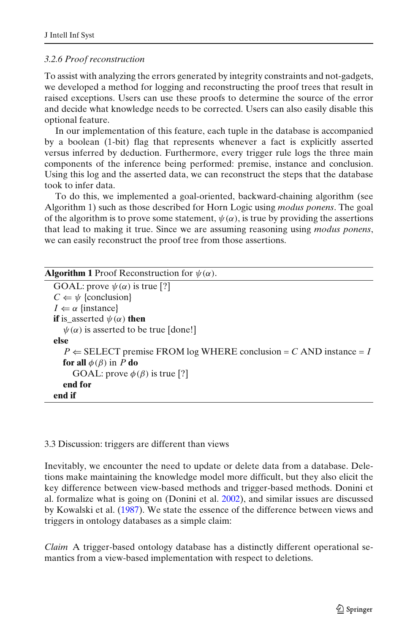# <span id="page-12-0"></span>*3.2.6 Proof reconstruction*

To assist with analyzing the errors generated by integrity constraints and not-gadgets, we developed a method for logging and reconstructing the proof trees that result in raised exceptions. Users can use these proofs to determine the source of the error and decide what knowledge needs to be corrected. Users can also easily disable this optional feature.

In our implementation of this feature, each tuple in the database is accompanied by a boolean (1-bit) flag that represents whenever a fact is explicitly asserted versus inferred by deduction. Furthermore, every trigger rule logs the three main components of the inference being performed: premise, instance and conclusion. Using this log and the asserted data, we can reconstruct the steps that the database took to infer data.

To do this, we implemented a goal-oriented, backward-chaining algorithm (see Algorithm 1) such as those described for Horn Logic using *modus ponens*. The goal of the algorithm is to prove some statement,  $\psi(\alpha)$ , is true by providing the assertions that lead to making it true. Since we are assuming reasoning using *modus ponens*, we can easily reconstruct the proof tree from those assertions.

| <b>Algorithm 1</b> Proof Reconstruction for $\psi(\alpha)$ .                 |
|------------------------------------------------------------------------------|
| GOAL: prove $\psi(\alpha)$ is true [?]                                       |
| $C \leftarrow \psi$ {conclusion}                                             |
| $I \Leftarrow \alpha$ {instance}                                             |
| <b>if</b> is_asserted $\psi(\alpha)$ <b>then</b>                             |
| $\psi(\alpha)$ is asserted to be true [done!]                                |
| else                                                                         |
| $P \leftarrow$ SELECT premise FROM log WHERE conclusion = C AND instance = I |
| for all $\phi(\beta)$ in P do                                                |
| GOAL: prove $\phi(\beta)$ is true [?]                                        |
| end for                                                                      |
| end if                                                                       |

3.3 Discussion: triggers are different than views

Inevitably, we encounter the need to update or delete data from a database. Deletions make maintaining the knowledge model more difficult, but they also elicit the key difference between view-based methods and trigger-based methods. Donini et al. formalize what is going on (Donini et al[.](#page-26-0) [2002](#page-26-0)), and similar issues are discussed by Kowalski et al[.](#page-27-0) [\(1987](#page-27-0)). We state the essence of the difference between views and triggers in ontology databases as a simple claim:

*Claim* A trigger-based ontology database has a distinctly different operational semantics from a view-based implementation with respect to deletions.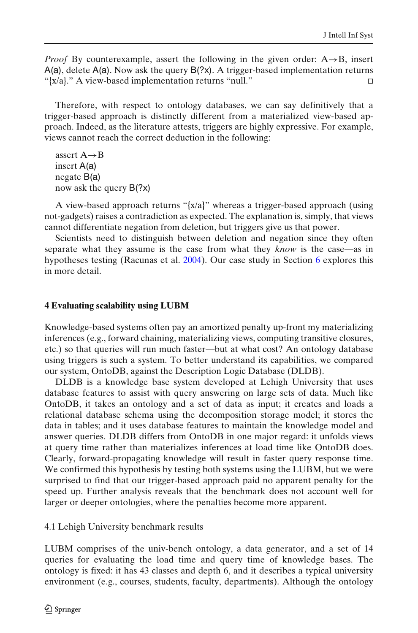<span id="page-13-0"></span>*Proof* By counterexample, assert the following in the given order:  $A \rightarrow B$ , insert A(a), delete A(a). Now ask the query B(?x). A trigger-based implementation returns " $\{x/a\}$ ." A view-based implementation returns "null."

Therefore, with respect to ontology databases, we can say definitively that a trigger-based approach is distinctly different from a materialized view-based approach. Indeed, as the literature attests, triggers are highly expressive. For example, views cannot reach the correct deduction in the following:

assert  $A \rightarrow B$ insert A(a) negate B(a) now ask the query B(?x)

A view-based approach returns "{x/a}" whereas a trigger-based approach (using not-gadgets) raises a contradiction as expected. The explanation is, simply, that views cannot differentiate negation from deletion, but triggers give us that power.

Scientists need to distinguish between deletion and negation since they often separate what they assume is the case from what they *know* is the case—as in hypotheses testing (Racunas et al[.](#page-27-0) [2004\)](#page-27-0). Our case study in Section [6](#page-19-0) explores this in more detail.

### **4 Evaluating scalability using LUBM**

Knowledge-based systems often pay an amortized penalty up-front my materializing inferences (e.g., forward chaining, materializing views, computing transitive closures, etc.) so that queries will run much faster—but at what cost? An ontology database using triggers is such a system. To better understand its capabilities, we compared our system, OntoDB, against the Description Logic Database (DLDB).

DLDB is a knowledge base system developed at Lehigh University that uses database features to assist with query answering on large sets of data. Much like OntoDB, it takes an ontology and a set of data as input; it creates and loads a relational database schema using the decomposition storage model; it stores the data in tables; and it uses database features to maintain the knowledge model and answer queries. DLDB differs from OntoDB in one major regard: it unfolds views at query time rather than materializes inferences at load time like OntoDB does. Clearly, forward-propagating knowledge will result in faster query response time. We confirmed this hypothesis by testing both systems using the LUBM, but we were surprised to find that our trigger-based approach paid no apparent penalty for the speed up. Further analysis reveals that the benchmark does not account well for larger or deeper ontologies, where the penalties become more apparent.

4.1 Lehigh University benchmark results

LUBM comprises of the univ-bench ontology, a data generator, and a set of 14 queries for evaluating the load time and query time of knowledge bases. The ontology is fixed: it has 43 classes and depth 6, and it describes a typical university environment (e.g., courses, students, faculty, departments). Although the ontology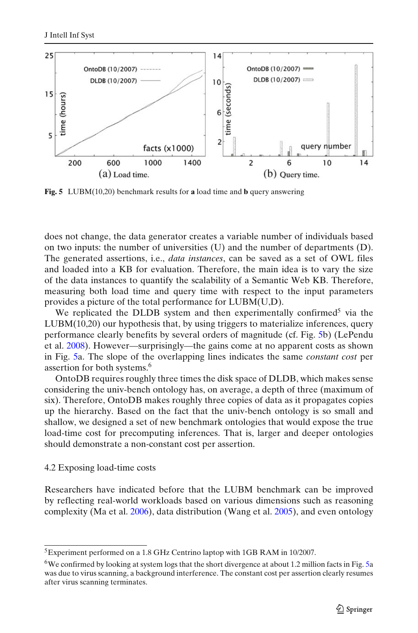<span id="page-14-0"></span>

**Fig. 5** LUBM(10,20) benchmark results for **a** load time and **b** query answering

does not change, the data generator creates a variable number of individuals based on two inputs: the number of universities (U) and the number of departments (D). The generated assertions, i.e., *data instances*, can be saved as a set of OWL files and loaded into a KB for evaluation. Therefore, the main idea is to vary the size of the data instances to quantify the scalability of a Semantic Web KB. Therefore, measuring both load time and query time with respect to the input parameters provides a picture of the total performance for LUBM(U,D).

We replicated the DLDB system and then experimentally confirmed<sup>5</sup> via the LUBM(10,20) our hypothesis that, by using triggers to materialize inferences, query performance clearly benefits by several orders of magnitude (cf. Fig. 5b) (LePendu et al[.](#page-27-0) [2008](#page-27-0)). However—surprisingly—the gains come at no apparent costs as shown in Fig. 5a. The slope of the overlapping lines indicates the same *constant cost* per assertion for both systems.6

OntoDB requires roughly three times the disk space of DLDB, which makes sense considering the univ-bench ontology has, on average, a depth of three (maximum of six). Therefore, OntoDB makes roughly three copies of data as it propagates copies up the hierarchy. Based on the fact that the univ-bench ontology is so small and shallow, we designed a set of new benchmark ontologies that would expose the true load-time cost for precomputing inferences. That is, larger and deeper ontologies should demonstrate a non-constant cost per assertion.

### 4.2 Exposing load-time costs

Researchers have indicated before that the LUBM benchmark can be improved by reflecting real-world workloads based on various dimensions such as reasoning complexity (Ma et al[.](#page-27-0) [2006](#page-27-0)), data distribution (Wang et al[.](#page-27-0) [2005\)](#page-27-0), and even ontology

<sup>5</sup>Experiment performed on a 1.8 GHz Centrino laptop with 1GB RAM in 10/2007.

<sup>&</sup>lt;sup>6</sup>We confirmed by looking at system logs that the short divergence at about 1.2 million facts in Fig. 5a was due to virus scanning, a background interference. The constant cost per assertion clearly resumes after virus scanning terminates.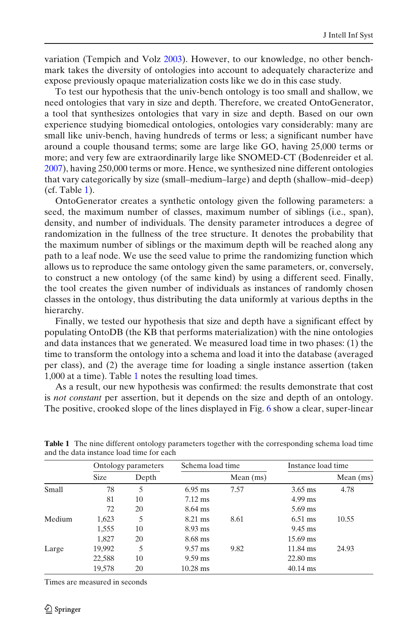variation (Tempich and Vol[z](#page-27-0) [2003](#page-27-0)). However, to our knowledge, no other benchmark takes the diversity of ontologies into account to adequately characterize and expose previously opaque materialization costs like we do in this case study.

To test our hypothesis that the univ-bench ontology is too small and shallow, we need ontologies that vary in size and depth. Therefore, we created OntoGenerator, a tool that synthesizes ontologies that vary in size and depth. Based on our own experience studying biomedical ontologies, ontologies vary considerably: many are small like univ-bench, having hundreds of terms or less; a significant number have around a couple thousand terms; some are large like GO, having 25,000 terms or more; and very few are extraordinarily large like SNOMED-CT (Bodenreider et al[.](#page-25-0) [2007\)](#page-25-0), having 250,000 terms or more. Hence, we synthesized nine different ontologies that vary categorically by size (small–medium–large) and depth (shallow–mid–deep) (cf. Table 1).

OntoGenerator creates a synthetic ontology given the following parameters: a seed, the maximum number of classes, maximum number of siblings (i.e., span), density, and number of individuals. The density parameter introduces a degree of randomization in the fullness of the tree structure. It denotes the probability that the maximum number of siblings or the maximum depth will be reached along any path to a leaf node. We use the seed value to prime the randomizing function which allows us to reproduce the same ontology given the same parameters, or, conversely, to construct a new ontology (of the same kind) by using a different seed. Finally, the tool creates the given number of individuals as instances of randomly chosen classes in the ontology, thus distributing the data uniformly at various depths in the hierarchy.

Finally, we tested our hypothesis that size and depth have a significant effect by populating OntoDB (the KB that performs materialization) with the nine ontologies and data instances that we generated. We measured load time in two phases: (1) the time to transform the ontology into a schema and load it into the database (averaged per class), and (2) the average time for loading a single instance assertion (taken 1,000 at a time). Table 1 notes the resulting load times.

As a result, our new hypothesis was confirmed: the results demonstrate that cost is *not constant* per assertion, but it depends on the size and depth of an ontology. The positive, crooked slope of the lines displayed in Fig. [6](#page-16-0) show a clear, super-linear

|        | Ontology parameters |       | Schema load time  |             | Instance load time |             |
|--------|---------------------|-------|-------------------|-------------|--------------------|-------------|
|        | <b>Size</b>         | Depth |                   | Mean $(ms)$ |                    | Mean $(ms)$ |
| Small  | 78                  | 5     | $6.95 \text{ ms}$ | 7.57        | $3.65$ ms          | 4.78        |
|        | 81                  | 10    | $7.12 \text{ ms}$ |             | $4.99$ ms          |             |
|        | 72                  | 20    | 8.64 ms           |             | $5.69$ ms          |             |
| Medium | 1,623               | 5     | 8.21 ms           | 8.61        | $6.51 \text{ ms}$  | 10.55       |
|        | 1,555               | 10    | $8.93$ ms         |             | $9.45 \text{ ms}$  |             |
|        | 1.827               | 20    | 8.68 ms           |             | $15.69$ ms         |             |
| Large  | 19,992              | 5     | $9.57 \text{ ms}$ | 9.82        | 11.84 ms           | 24.93       |
|        | 22,588              | 10    | $9.59 \text{ ms}$ |             | 22.80 ms           |             |
|        | 19,578              | 20    | $10.28$ ms        |             | $40.14$ ms         |             |

**Table 1** The nine different ontology parameters together with the corresponding schema load time and the data instance load time for each

Times are measured in seconds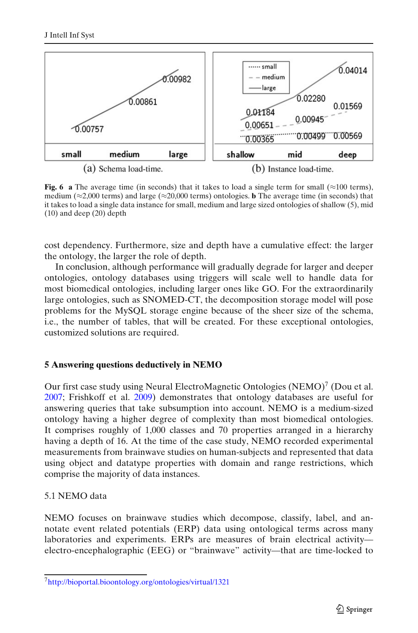<span id="page-16-0"></span>

**Fig. 6 a** The average time (in seconds) that it takes to load a single term for small ( $\approx$ 100 terms), medium ( $\approx$ 2,000 terms) and large ( $\approx$ 20,000 terms) ontologies. **b** The average time (in seconds) that it takes to load a single data instance for small, medium and large sized ontologies of shallow (5), mid  $(10)$  and deep  $(20)$  depth

cost dependency. Furthermore, size and depth have a cumulative effect: the larger the ontology, the larger the role of depth.

In conclusion, although performance will gradually degrade for larger and deeper ontologies, ontology databases using triggers will scale well to handle data for most biomedical ontologies, including larger ones like GO. For the extraordinarily large ontologies, such as SNOMED-CT, the decomposition storage model will pose problems for the MySQL storage engine because of the sheer size of the schema, i.e., the number of tables, that will be created. For these exceptional ontologies, customized solutions are required.

### **5 Answering questions deductively in NEMO**

Our first case study using Neural ElectroMagnetic Ontologies (NEMO)<sup>7</sup> (Dou et al[.](#page-26-0) [2007;](#page-26-0) Frishkoff et al[.](#page-26-0) [2009](#page-26-0)) demonstrates that ontology databases are useful for answering queries that take subsumption into account. NEMO is a medium-sized ontology having a higher degree of complexity than most biomedical ontologies. It comprises roughly of 1,000 classes and 70 properties arranged in a hierarchy having a depth of 16. At the time of the case study, NEMO recorded experimental measurements from brainwave studies on human-subjects and represented that data using object and datatype properties with domain and range restrictions, which comprise the majority of data instances.

# 5.1 NEMO data

NEMO focuses on brainwave studies which decompose, classify, label, and annotate event related potentials (ERP) data using ontological terms across many laboratories and experiments. ERPs are measures of brain electrical activity electro-encephalographic (EEG) or "brainwave" activity—that are time-locked to

[<sup>7</sup>http://bioportal.bioontology.org/ontologies/virtual/1321](http://bioportal.bioontology.org/ontologies/virtual/1321)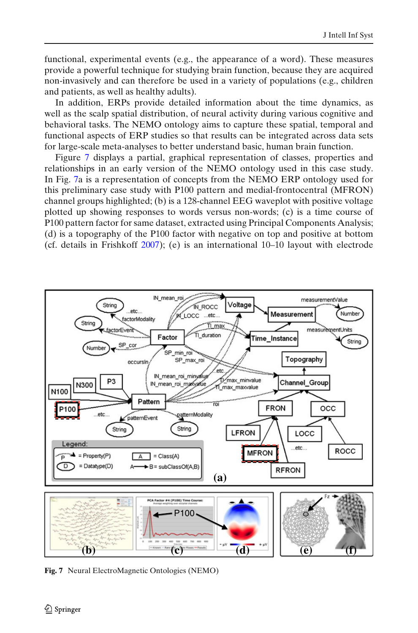<span id="page-17-0"></span>functional, experimental events (e.g., the appearance of a word). These measures provide a powerful technique for studying brain function, because they are acquired non-invasively and can therefore be used in a variety of populations (e.g., children and patients, as well as healthy adults).

In addition, ERPs provide detailed information about the time dynamics, as well as the scalp spatial distribution, of neural activity during various cognitive and behavioral tasks. The NEMO ontology aims to capture these spatial, temporal and functional aspects of ERP studies so that results can be integrated across data sets for large-scale meta-analyses to better understand basic, human brain function.

Figure 7 displays a partial, graphical representation of classes, properties and relationships in an early version of the NEMO ontology used in this case study. In Fig. 7a is a representation of concepts from the NEMO ERP ontology used for this preliminary case study with P100 pattern and medial-frontocentral (MFRON) channel groups highlighted; (b) is a 128-channel EEG waveplot with positive voltage plotted up showing responses to words versus non-words; (c) is a time course of P100 pattern factor for same dataset, extracted using Principal Components Analysis; (d) is a topography of the P100 factor with negative on top and positive at bottom (cf. details in Frishkof[f](#page-26-0) [2007\)](#page-26-0); (e) is an international 10–10 layout with electrode



**Fig. 7** Neural ElectroMagnetic Ontologies (NEMO)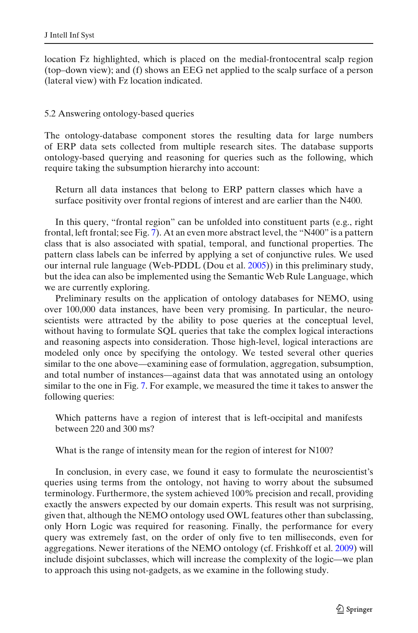location Fz highlighted, which is placed on the medial-frontocentral scalp region (top–down view); and (f) shows an EEG net applied to the scalp surface of a person (lateral view) with Fz location indicated.

#### 5.2 Answering ontology-based queries

The ontology-database component stores the resulting data for large numbers of ERP data sets collected from multiple research sites. The database supports ontology-based querying and reasoning for queries such as the following, which require taking the subsumption hierarchy into account:

Return all data instances that belong to ERP pattern classes which have a surface positivity over frontal regions of interest and are earlier than the N400.

In this query, "frontal region" can be unfolded into constituent parts (e.g., right frontal, left frontal; see Fig. [7\)](#page-17-0). At an even more abstract level, the "N400" is a pattern class that is also associated with spatial, temporal, and functional properties. The pattern class labels can be inferred by applying a set of conjunctive rules. We used our internal rule language (Web-PDDL (Dou et al[.](#page-26-0) [2005\)](#page-26-0)) in this preliminary study, but the idea can also be implemented using the Semantic Web Rule Language, which we are currently exploring.

Preliminary results on the application of ontology databases for NEMO, using over 100,000 data instances, have been very promising. In particular, the neuroscientists were attracted by the ability to pose queries at the conceptual level, without having to formulate SQL queries that take the complex logical interactions and reasoning aspects into consideration. Those high-level, logical interactions are modeled only once by specifying the ontology. We tested several other queries similar to the one above—examining ease of formulation, aggregation, subsumption, and total number of instances—against data that was annotated using an ontology similar to the one in Fig. [7.](#page-17-0) For example, we measured the time it takes to answer the following queries:

Which patterns have a region of interest that is left-occipital and manifests between 220 and 300 ms?

What is the range of intensity mean for the region of interest for N100?

In conclusion, in every case, we found it easy to formulate the neuroscientist's queries using terms from the ontology, not having to worry about the subsumed terminology. Furthermore, the system achieved 100% precision and recall, providing exactly the answers expected by our domain experts. This result was not surprising, given that, although the NEMO ontology used OWL features other than subclassing, only Horn Logic was required for reasoning. Finally, the performance for every query was extremely fast, on the order of only five to ten milliseconds, even for aggregations. Newer iterations of the NEMO ontology (cf. Frishkoff et al[.](#page-26-0) [2009\)](#page-26-0) will include disjoint subclasses, which will increase the complexity of the logic—we plan to approach this using not-gadgets, as we examine in the following study.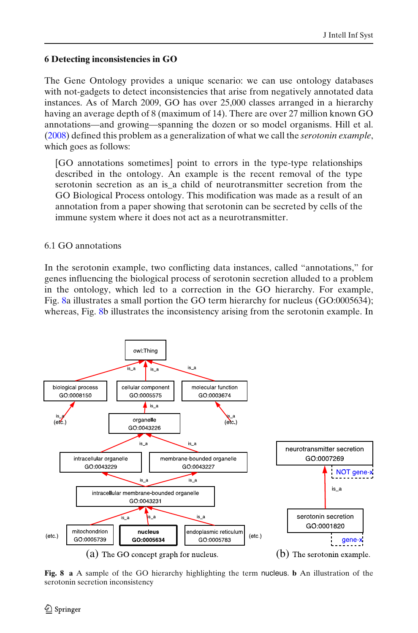# <span id="page-19-0"></span>**6 Detecting inconsistencies in GO**

The Gene Ontology provides a unique scenario: we can use ontology databases with not-gadgets to detect inconsistencies that arise from negatively annotated data instances. As of March 2009, GO has over 25,000 classes arranged in a hierarchy having an average depth of 8 (maximum of 14). There are over 27 million known GO annotations—and growing—spanning the dozen or so model organisms. Hill et al[.](#page-26-0) [\(2008](#page-26-0)) defined this problem as a generalization of what we call the *serotonin example*, which goes as follows:

[GO annotations sometimes] point to errors in the type-type relationships described in the ontology. An example is the recent removal of the type serotonin secretion as an is\_a child of neurotransmitter secretion from the GO Biological Process ontology. This modification was made as a result of an annotation from a paper showing that serotonin can be secreted by cells of the immune system where it does not act as a neurotransmitter.

# 6.1 GO annotations

In the serotonin example, two conflicting data instances, called "annotations," for genes influencing the biological process of serotonin secretion alluded to a problem in the ontology, which led to a correction in the GO hierarchy. For example, Fig. 8a illustrates a small portion the GO term hierarchy for nucleus (GO:0005634); whereas, Fig. 8b illustrates the inconsistency arising from the serotonin example. In



**Fig. 8 a** A sample of the GO hierarchy highlighting the term nucleus. **b** An illustration of the serotonin secretion inconsistency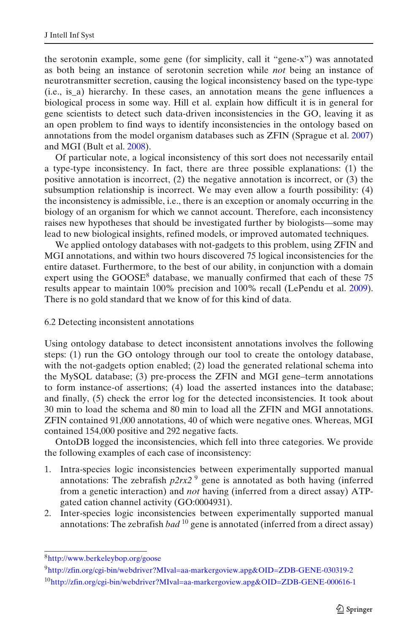the serotonin example, some gene (for simplicity, call it "gene-x") was annotated as both being an instance of serotonin secretion while *not* being an instance of neurotransmitter secretion, causing the logical inconsistency based on the type-type (i.e., is\_a) hierarchy. In these cases, an annotation means the gene influences a biological process in some way. Hill et al. explain how difficult it is in general for gene scientists to detect such data-driven inconsistencies in the GO, leaving it as an open problem to find ways to identify inconsistencies in the ontology based on annotations from the model organism databases such as ZFIN (Sprague et al[.](#page-27-0) [2007\)](#page-27-0) and MGI (Bult et al[.](#page-25-0) [2008\)](#page-25-0).

Of particular note, a logical inconsistency of this sort does not necessarily entail a type-type inconsistency. In fact, there are three possible explanations: (1) the positive annotation is incorrect, (2) the negative annotation is incorrect, or (3) the subsumption relationship is incorrect. We may even allow a fourth possibility: (4) the inconsistency is admissible, i.e., there is an exception or anomaly occurring in the biology of an organism for which we cannot account. Therefore, each inconsistency raises new hypotheses that should be investigated further by biologists—some may lead to new biological insights, refined models, or improved automated techniques.

We applied ontology databases with not-gadgets to this problem, using ZFIN and MGI annotations, and within two hours discovered 75 logical inconsistencies for the entire dataset. Furthermore, to the best of our ability, in conjunction with a domain expert using the  $GOOSE<sup>8</sup>$  database, we manually confirmed that each of these 75 results appear to maintain 100% precision and 100% recall (LePendu et al[.](#page-27-0) [2009\)](#page-27-0). There is no gold standard that we know of for this kind of data.

### 6.2 Detecting inconsistent annotations

Using ontology database to detect inconsistent annotations involves the following steps: (1) run the GO ontology through our tool to create the ontology database, with the not-gadgets option enabled; (2) load the generated relational schema into the MySQL database; (3) pre-process the ZFIN and MGI gene–term annotations to form instance-of assertions; (4) load the asserted instances into the database; and finally, (5) check the error log for the detected inconsistencies. It took about 30 min to load the schema and 80 min to load all the ZFIN and MGI annotations. ZFIN contained 91,000 annotations, 40 of which were negative ones. Whereas, MGI contained 154,000 positive and 292 negative facts.

OntoDB logged the inconsistencies, which fell into three categories. We provide the following examples of each case of inconsistency:

- 1. Intra-species logic inconsistencies between experimentally supported manual annotations: The zebrafish  $p2rx2$ <sup>9</sup> gene is annotated as both having (inferred from a genetic interaction) and *not* having (inferred from a direct assay) ATPgated cation channel activity (GO:0004931).
- 2. Inter-species logic inconsistencies between experimentally supported manual annotations: The zebrafish *bad* <sup>10</sup> gene is annotated (inferred from a direct assay)

[<sup>8</sup>http://www.berkeleybop.org/goose](http://www.berkeleybop.org/goose)

[<sup>9</sup>http://zfin.org/cgi-bin/webdriver?MIval=aa-markergoview.apg&OID=ZDB-GENE-030319-2](http://zfin.org/cgi-bin/webdriver?MIval=aa-markergoview.apg&OID=ZDB-GENE-030319-2)

<sup>1</sup>[0http://zfin.org/cgi-bin/webdriver?MIval=aa-markergoview.apg&OID=ZDB-GENE-000616-1](http://zfin.org/cgi-bin/webdriver?MIval=aa-markergoview.apg&OID=ZDB-GENE-000616-1)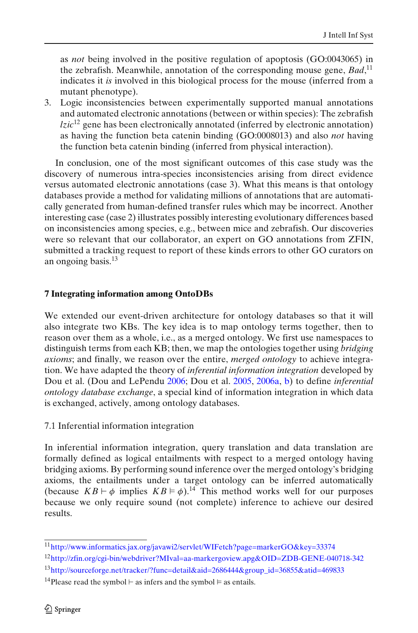<span id="page-21-0"></span>as *not* being involved in the positive regulation of apoptosis (GO:0043065) in the zebrafish. Meanwhile, annotation of the corresponding mouse gene, *Bad*, 11 indicates it *is* involved in this biological process for the mouse (inferred from a mutant phenotype).

3. Logic inconsistencies between experimentally supported manual annotations and automated electronic annotations (between or within species): The zebrafish *lzic*<sup>12</sup> gene has been electronically annotated (inferred by electronic annotation) as having the function beta catenin binding (GO:0008013) and also *not* having the function beta catenin binding (inferred from physical interaction).

In conclusion, one of the most significant outcomes of this case study was the discovery of numerous intra-species inconsistencies arising from direct evidence versus automated electronic annotations (case 3). What this means is that ontology databases provide a method for validating millions of annotations that are automatically generated from human-defined transfer rules which may be incorrect. Another interesting case (case 2) illustrates possibly interesting evolutionary differences based on inconsistencies among species, e.g., between mice and zebrafish. Our discoveries were so relevant that our collaborator, an expert on GO annotations from ZFIN, submitted a tracking request to report of these kinds errors to other GO curators on an ongoing basis.13

# **7 Integrating information among OntoDBs**

We extended our event-driven architecture for ontology databases so that it will also integrate two KBs. The key idea is to map ontology terms together, then to reason over them as a whole, i.e., as a merged ontology. We first use namespaces to distinguish terms from each KB; then, we map the ontologies together using *bridging axioms*; and finally, we reason over the entire, *merged ontology* to achieve integration. We have adapted the theory of *inferential information integration* developed by Dou et al. (Dou and LePend[u](#page-26-0) [2006;](#page-26-0) Dou et al[.](#page-26-0) [2005,](#page-26-0) [2006a,](#page-26-0) [b\)](#page-26-0) to define *inferential ontology database exchange*, a special kind of information integration in which data is exchanged, actively, among ontology databases.

7.1 Inferential information integration

In inferential information integration, query translation and data translation are formally defined as logical entailments with respect to a merged ontology having bridging axioms. By performing sound inference over the merged ontology's bridging axioms, the entailments under a target ontology can be inferred automatically (because  $KB \vdash \phi$  implies  $KB \models \phi$ ).<sup>14</sup> This method works well for our purposes because we only require sound (not complete) inference to achieve our desired results.

<sup>1</sup>[1http://www.informatics.jax.org/javawi2/servlet/WIFetch?page=markerGO&key=33374](http://www.informatics.jax.org/javawi2/servlet/WIFetch?page=markerGO&key=33374)

<sup>1</sup>[2http://zfin.org/cgi-bin/webdriver?MIval=aa-markergoview.apg&OID=ZDB-GENE-040718-342](http://zfin.org/cgi-bin/webdriver?MIval=aa-markergoview.apg&OID=ZDB-GENE-040718-342)

<sup>1</sup>[3http://sourceforge.net/tracker/?func=detail&aid=2686444&group\\_id=36855&atid=469833](http://sourceforge.net/tracker/?func=detail&aid=2686444&group_id=36855&atid=469833)

<sup>&</sup>lt;sup>14</sup>Please read the symbol  $\vdash$  as infers and the symbol  $\models$  as entails.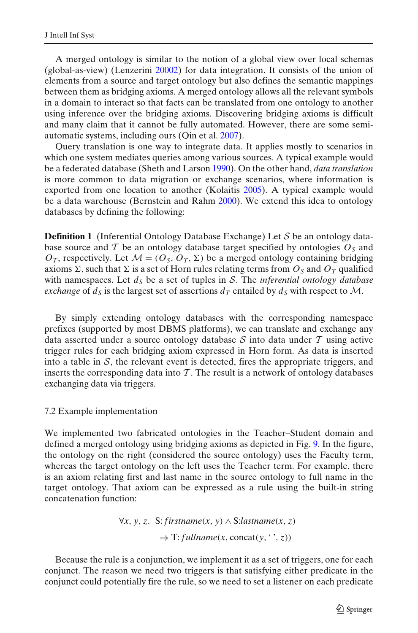A merged ontology is similar to the notion of a global view over local schemas (global-as-view) (Lenzerin[i](#page-27-0) [20002](#page-27-0)) for data integration. It consists of the union of elements from a source and target ontology but also defines the semantic mappings between them as bridging axioms. A merged ontology allows all the relevant symbols in a domain to interact so that facts can be translated from one ontology to another using inference over the bridging axioms. Discovering bridging axioms is difficult and many claim that it cannot be fully automated. However, there are some semiautomatic systems, including ours (Qin et al[.](#page-27-0) [2007\)](#page-27-0).

Query translation is one way to integrate data. It applies mostly to scenarios in which one system mediates queries among various sources. A typical example would be a federated database (Sheth and Larso[n](#page-27-0) [1990](#page-27-0)). On the other hand, *data translation* is more common to data migration or exchange scenarios, where information is exported from one location to another (Kolaiti[s](#page-27-0) [2005](#page-27-0)). A typical example would be a data warehouse (Bernstein and Rah[m](#page-25-0) [2000\)](#page-25-0). We extend this idea to ontology databases by defining the following:

**Definition 1** (Inferential Ontology Database Exchange) Let S be an ontology database source and  $T$  be an ontology database target specified by ontologies  $O<sub>S</sub>$  and  $O_T$ , respectively. Let  $\mathcal{M} = (O_S, O_T, \Sigma)$  be a merged ontology containing bridging axioms  $\Sigma$ , such that  $\Sigma$  is a set of Horn rules relating terms from  $O_S$  and  $O_T$  qualified with namespaces. Let  $d<sub>S</sub>$  be a set of tuples in S. The *inferential ontology database exchange* of  $d_S$  is the largest set of assertions  $d_T$  entailed by  $d_S$  with respect to M.

By simply extending ontology databases with the corresponding namespace prefixes (supported by most DBMS platforms), we can translate and exchange any data asserted under a source ontology database S into data under T using active trigger rules for each bridging axiom expressed in Horn form. As data is inserted into a table in  $S$ , the relevant event is detected, fires the appropriate triggers, and inserts the corresponding data into  $\mathcal T$ . The result is a network of ontology databases exchanging data via triggers.

#### 7.2 Example implementation

We implemented two fabricated ontologies in the Teacher–Student domain and defined a merged ontology using bridging axioms as depicted in Fig. [9.](#page-23-0) In the figure, the ontology on the right (considered the source ontology) uses the Faculty term, whereas the target ontology on the left uses the Teacher term. For example, there is an axiom relating first and last name in the source ontology to full name in the target ontology. That axiom can be expressed as a rule using the built-in string concatenation function:

$$
\forall x, y, z. \ S: first name(x, y) \land S: last name(x, z)
$$

$$
\Rightarrow T: full name(x, concat(y, '', z))
$$

Because the rule is a conjunction, we implement it as a set of triggers, one for each conjunct. The reason we need two triggers is that satisfying either predicate in the conjunct could potentially fire the rule, so we need to set a listener on each predicate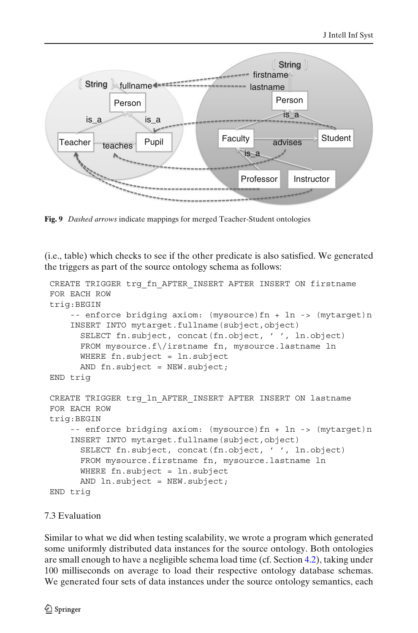<span id="page-23-0"></span>

**Fig. 9** *Dashed arrows* indicate mappings for merged Teacher-Student ontologies

(i.e., table) which checks to see if the other predicate is also satisfied. We generated the triggers as part of the source ontology schema as follows:

```
CREATE TRIGGER trg fn AFTER INSERT AFTER INSERT ON firstname
FOR EACH ROW
trig:BEGIN
    -- enforce bridging axiom: (mysource)fn + ln -> (mytarget)n
    INSERT INTO mytarget.fullname(subject,object)
      SELECT fn.subject, concat(fn.object, ' ', ln.object)
      FROM mysource.f\/irstname fn, mysource.lastname ln
      WHERE fn.subject = ln.subject
      AND fn.subject = NEW.subject;END trig
CREATE TRIGGER trg_ln_AFTER_INSERT AFTER INSERT ON lastname
FOR EACH ROW
trig:BEGIN
    -- enforce bridging axiom: (mysource) fn + ln -> (mytarget)n
    INSERT INTO mytarget.fullname(subject,object)
      SELECT fn.subject, concat(fn.object, ' ', ln.object)
      FROM mysource.firstname fn, mysource.lastname ln
      WHERE fn.subject = ln.subject
      AND ln.subject = NEW.subject;
END trig
```
# 7.3 Evaluation

Similar to what we did when testing scalability, we wrote a program which generated some uniformly distributed data instances for the source ontology. Both ontologies are small enough to have a negligible schema load time (cf. Section [4.2\)](#page-14-0), taking under 100 milliseconds on average to load their respective ontology database schemas. We generated four sets of data instances under the source ontology semantics, each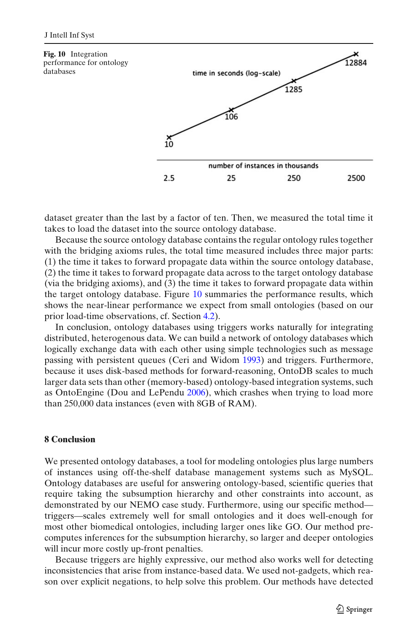<span id="page-24-0"></span>

dataset greater than the last by a factor of ten. Then, we measured the total time it takes to load the dataset into the source ontology database.

Because the source ontology database contains the regular ontology rules together with the bridging axioms rules, the total time measured includes three major parts: (1) the time it takes to forward propagate data within the source ontology database, (2) the time it takes to forward propagate data across to the target ontology database (via the bridging axioms), and (3) the time it takes to forward propagate data within the target ontology database. Figure 10 summaries the performance results, which shows the near-linear performance we expect from small ontologies (based on our prior load-time observations, cf. Section [4.2\)](#page-14-0).

In conclusion, ontology databases using triggers works naturally for integrating distributed, heterogenous data. We can build a network of ontology databases which logically exchange data with each other using simple technologies such as message passing with persistent queues (Ceri and Wido[m](#page-25-0) [1993](#page-25-0)) and triggers. Furthermore, because it uses disk-based methods for forward-reasoning, OntoDB scales to much larger data sets than other (memory-based) ontology-based integration systems, such as OntoEngine (Dou and LePend[u](#page-26-0) [2006\)](#page-26-0), which crashes when trying to load more than 250,000 data instances (even with 8GB of RAM).

### **8 Conclusion**

We presented ontology databases, a tool for modeling ontologies plus large numbers of instances using off-the-shelf database management systems such as MySQL. Ontology databases are useful for answering ontology-based, scientific queries that require taking the subsumption hierarchy and other constraints into account, as demonstrated by our NEMO case study. Furthermore, using our specific method triggers—scales extremely well for small ontologies and it does well-enough for most other biomedical ontologies, including larger ones like GO. Our method precomputes inferences for the subsumption hierarchy, so larger and deeper ontologies will incur more costly up-front penalties.

Because triggers are highly expressive, our method also works well for detecting inconsistencies that arise from instance-based data. We used not-gadgets, which reason over explicit negations, to help solve this problem. Our methods have detected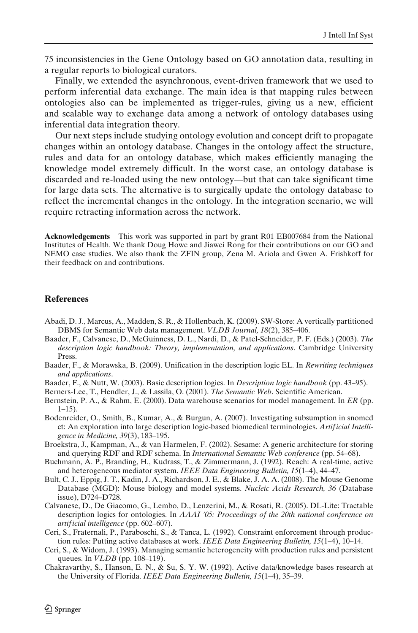<span id="page-25-0"></span>75 inconsistencies in the Gene Ontology based on GO annotation data, resulting in a regular reports to biological curators.

Finally, we extended the asynchronous, event-driven framework that we used to perform inferential data exchange. The main idea is that mapping rules between ontologies also can be implemented as trigger-rules, giving us a new, efficient and scalable way to exchange data among a network of ontology databases using inferential data integration theory.

Our next steps include studying ontology evolution and concept drift to propagate changes within an ontology database. Changes in the ontology affect the structure, rules and data for an ontology database, which makes efficiently managing the knowledge model extremely difficult. In the worst case, an ontology database is discarded and re-loaded using the new ontology—but that can take significant time for large data sets. The alternative is to surgically update the ontology database to reflect the incremental changes in the ontology. In the integration scenario, we will require retracting information across the network.

**Acknowledgements** This work was supported in part by grant R01 EB007684 from the National Institutes of Health. We thank Doug Howe and Jiawei Rong for their contributions on our GO and NEMO case studies. We also thank the ZFIN group, Zena M. Ariola and Gwen A. Frishkoff for their feedback on and contributions.

#### **References**

- Abadi, D. J., Marcus, A., Madden, S. R., & Hollenbach, K. (2009). SW-Store: A vertically partitioned DBMS for Semantic Web data management. *VLDB Journal, 18*(2), 385–406.
- Baader, F., Calvanese, D., McGuinness, D. L., Nardi, D., & Patel-Schneider, P. F. (Eds.) (2003). *The description logic handbook: Theory, implementation, and applications*. Cambridge University Press.
- Baader, F., & Morawska, B. (2009). Unification in the description logic EL. In *Rewriting techniques and applications*.
- Baader, F., & Nutt, W. (2003). Basic description logics. In *Description logic handbook* (pp. 43–95).
- Berners-Lee, T., Hendler, J., & Lassila, O. (2001). *The Semantic Web*. Scientific American.
- Bernstein, P. A., & Rahm, E. (2000). Data warehouse scenarios for model management. In *ER* (pp.  $1-15$ ).
- Bodenreider, O., Smith, B., Kumar, A., & Burgun, A. (2007). Investigating subsumption in snomed ct: An exploration into large description logic-based biomedical terminologies. *Artif icial Intelligence in Medicine, 39*(3), 183–195.
- Broekstra, J., Kampman, A., & van Harmelen, F. (2002). Sesame: A generic architecture for storing and querying RDF and RDF schema. In *International Semantic Web conference* (pp. 54–68).
- Buchmann, A. P., Branding, H., Kudrass, T., & Zimmermann, J. (1992). Reach: A real-time, active and heterogeneous mediator system. *IEEE Data Engineering Bulletin, 15*(1–4), 44–47.
- Bult, C. J., Eppig, J. T., Kadin, J. A., Richardson, J. E., & Blake, J. A. A. (2008). The Mouse Genome Database (MGD): Mouse biology and model systems. *Nucleic Acids Research, 36* (Database issue), D724–D728.
- Calvanese, D., De Giacomo, G., Lembo, D., Lenzerini, M., & Rosati, R. (2005). DL-Lite: Tractable description logics for ontologies. In *AAAI '05: Proceedings of the 20th national conference on artif icial intelligence* (pp. 602–607).
- Ceri, S., Fraternali, P., Paraboschi, S., & Tanca, L. (1992). Constraint enforcement through production rules: Putting active databases at work. *IEEE Data Engineering Bulletin, 15*(1–4), 10–14.
- Ceri, S., & Widom, J. (1993). Managing semantic heterogeneity with production rules and persistent queues. In *VLDB* (pp. 108–119).
- Chakravarthy, S., Hanson, E. N., & Su, S. Y. W. (1992). Active data/knowledge bases research at the University of Florida. *IEEE Data Engineering Bulletin, 15*(1–4), 35–39.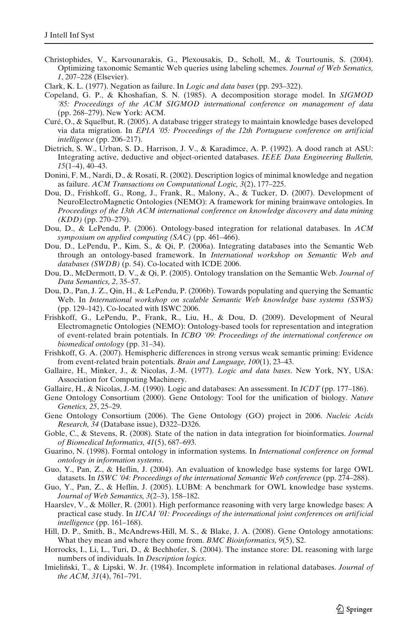- <span id="page-26-0"></span>Christophides, V., Karvounarakis, G., Plexousakis, D., Scholl, M., & Tourtounis, S. (2004). Optimizing taxonomic Semantic Web queries using labeling schemes. *Journal of Web Sematics, 1*, 207–228 (Elsevier).
- Clark, K. L. (1977). Negation as failure. In *Logic and data bases* (pp. 293–322).
- Copeland, G. P., & Khoshafian, S. N. (1985). A decomposition storage model. In *SIGMOD '85: Proceedings of the ACM SIGMOD international conference on management of data* (pp. 268–279). New York: ACM.
- Curé, O., & Squelbut, R. (2005). A database trigger strategy to maintain knowledge bases developed via data migration. In *EPIA '05: Proceedings of the 12th Portuguese conference on artif icial intelligence* (pp. 206–217).
- Dietrich, S. W., Urban, S. D., Harrison, J. V., & Karadimce, A. P. (1992). A dood ranch at ASU: Integrating active, deductive and object-oriented databases. *IEEE Data Engineering Bulletin, 15*(1–4), 40–43.
- Donini, F. M., Nardi, D., & Rosati, R. (2002). Description logics of minimal knowledge and negation as failure. *ACM Transactions on Computational Logic, 3*(2), 177–225.
- Dou, D., Frishkoff, G., Rong, J., Frank, R., Malony, A., & Tucker, D. (2007). Development of NeuroElectroMagnetic Ontologies (NEMO): A framework for mining brainwave ontologies. In *Proceedings of the 13th ACM international conference on knowledge discovery and data mining (KDD)* (pp. 270–279).
- Dou, D., & LePendu, P. (2006). Ontology-based integration for relational databases. In *ACM symposium on applied computing (SAC)* (pp. 461–466).
- Dou, D., LePendu, P., Kim, S., & Qi, P. (2006a). Integrating databases into the Semantic Web through an ontology-based framework. In *International workshop on Semantic Web and databases (SWDB)* (p. 54). Co-located with ICDE 2006.
- Dou, D., McDermott, D. V., & Qi, P. (2005). Ontology translation on the Semantic Web. *Journal of Data Semantics, 2*, 35–57.
- Dou, D., Pan, J. Z., Qin, H., & LePendu, P. (2006b). Towards populating and querying the Semantic Web. In *International workshop on scalable Semantic Web knowledge base systems (SSWS)* (pp. 129–142). Co-located with ISWC 2006.
- Frishkoff, G., LePendu, P., Frank, R., Liu, H., & Dou, D. (2009). Development of Neural Electromagnetic Ontologies (NEMO): Ontology-based tools for representation and integration of event-related brain potentials. In *ICBO '09: Proceedings of the international conference on biomedical ontology* (pp. 31–34).
- Frishkoff, G. A. (2007). Hemispheric differences in strong versus weak semantic priming: Evidence from event-related brain potentials. *Brain and Language, 100*(1), 23–43.
- Gallaire, H., Minker, J., & Nicolas, J.-M. (1977). *Logic and data bases*. New York, NY, USA: Association for Computing Machinery.
- Gallaire, H., & Nicolas, J.-M. (1990). Logic and databases: An assessment. In *ICDT* (pp. 177–186).
- Gene Ontology Consortium (2000). Gene Ontology: Tool for the unification of biology. *Nature Genetics, 25*, 25–29.
- Gene Ontology Consortium (2006). The Gene Ontology (GO) project in 2006. *Nucleic Acids Research, 34* (Database issue), D322–D326.
- Goble, C., & Stevens, R. (2008). State of the nation in data integration for bioinformatics. *Journal of Biomedical Informatics, 41*(5), 687–693.
- Guarino, N. (1998). Formal ontology in information systems. In *International conference on formal ontology in information systems*.
- Guo, Y., Pan, Z., & Heflin, J. (2004). An evaluation of knowledge base systems for large OWL datasets. In *ISWC '04: Proceedings of the international Semantic Web conference* (pp. 274–288).
- Guo, Y., Pan, Z., & Heflin, J. (2005). LUBM: A benchmark for OWL knowledge base systems. *Journal of Web Semantics, 3*(2–3), 158–182.
- Haarslev, V., & Möller, R. (2001). High performance reasoning with very large knowledge bases: A practical case study. In *IJCAI '01: Proceedings of the international joint conferences on artif icial intelligence* (pp. 161–168).
- Hill, D. P., Smith, B., McAndrews-Hill, M. S., & Blake, J. A. (2008). Gene Ontology annotations: What they mean and where they come from. *BMC Bioinformatics, 9*(5), S2.
- Horrocks, I., Li, L., Turi, D., & Bechhofer, S. (2004). The instance store: DL reasoning with large numbers of individuals. In *Description logics*.
- Imieliński, T., & Lipski, W. Jr. (1984). Incomplete information in relational databases. *Journal of the ACM, 31*(4), 761–791.